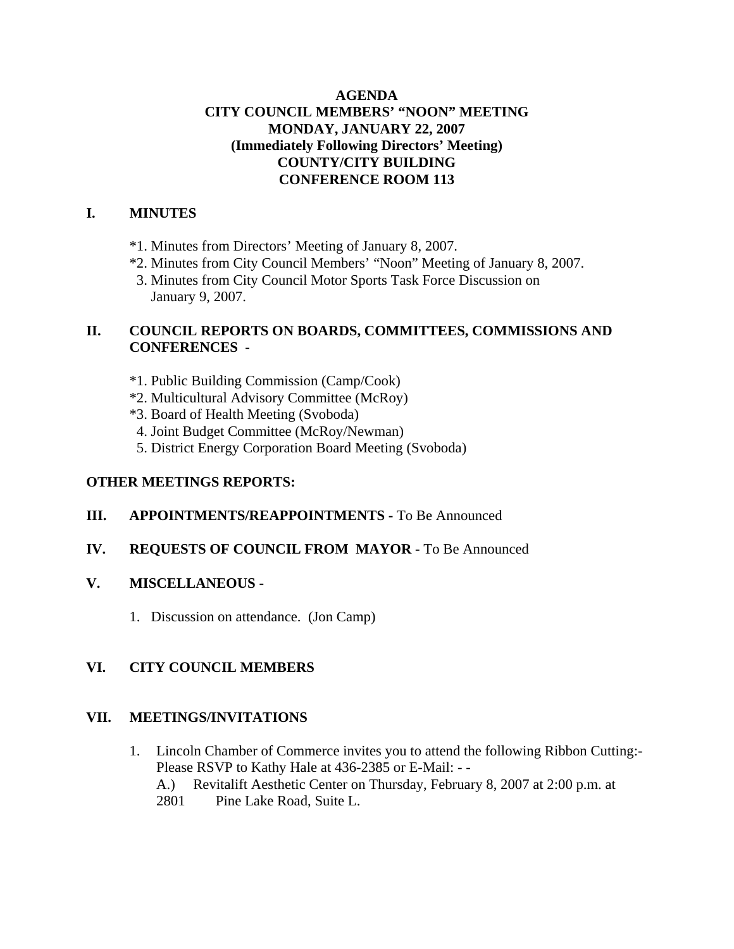### **AGENDA CITY COUNCIL MEMBERS' "NOON" MEETING MONDAY, JANUARY 22, 2007 (Immediately Following Directors' Meeting) COUNTY/CITY BUILDING CONFERENCE ROOM 113**

#### **I. MINUTES**

- \*1. Minutes from Directors' Meeting of January 8, 2007.
- \*2. Minutes from City Council Members' "Noon" Meeting of January 8, 2007.
- 3. Minutes from City Council Motor Sports Task Force Discussion on January 9, 2007.

# **II. COUNCIL REPORTS ON BOARDS, COMMITTEES, COMMISSIONS AND CONFERENCES -**

- \*1. Public Building Commission (Camp/Cook)
- \*2. Multicultural Advisory Committee (McRoy)
- \*3. Board of Health Meeting (Svoboda)
- 4. Joint Budget Committee (McRoy/Newman)
- 5. District Energy Corporation Board Meeting (Svoboda)

## **OTHER MEETINGS REPORTS:**

# **III.** APPOINTMENTS/REAPPOINTMENTS - To Be Announced

### **IV. REQUESTS OF COUNCIL FROM MAYOR -** To Be Announced

### **V. MISCELLANEOUS -**

1. Discussion on attendance. (Jon Camp)

# **VI. CITY COUNCIL MEMBERS**

# **VII. MEETINGS/INVITATIONS**

- 1. Lincoln Chamber of Commerce invites you to attend the following Ribbon Cutting:- Please RSVP to Kathy Hale at 436-2385 or E-Mail: - - A.) Revitalift Aesthetic Center on Thursday, February 8, 2007 at 2:00 p.m. at
	- 2801 Pine Lake Road, Suite L.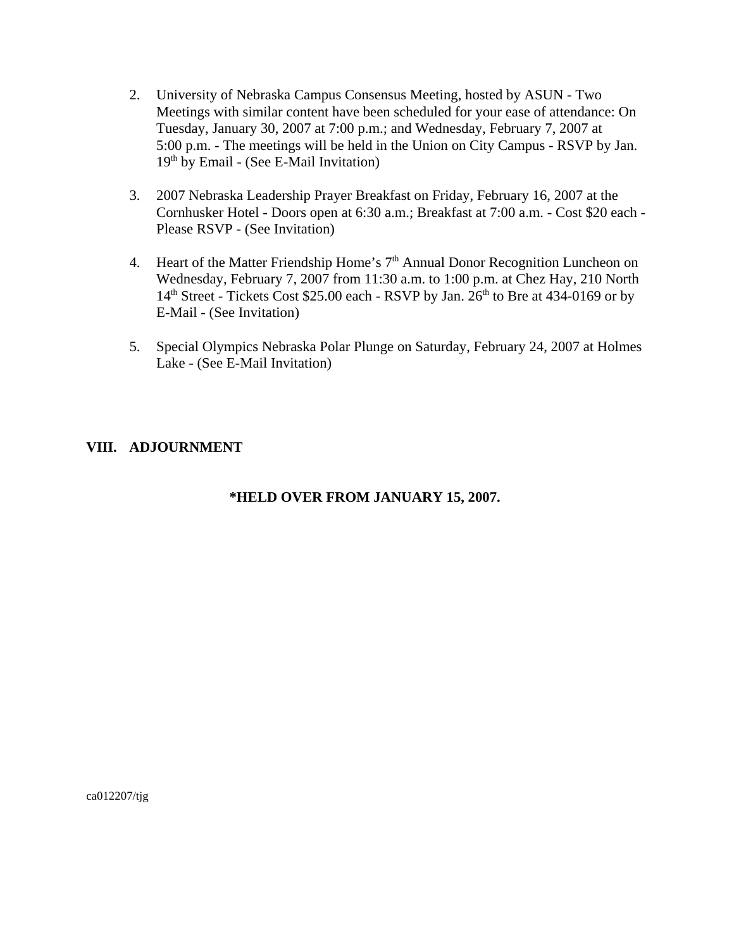- 2. University of Nebraska Campus Consensus Meeting, hosted by ASUN Two Meetings with similar content have been scheduled for your ease of attendance: On Tuesday, January 30, 2007 at 7:00 p.m.; and Wednesday, February 7, 2007 at 5:00 p.m. - The meetings will be held in the Union on City Campus - RSVP by Jan.  $19<sup>th</sup>$  by Email - (See E-Mail Invitation)
- 3. 2007 Nebraska Leadership Prayer Breakfast on Friday, February 16, 2007 at the Cornhusker Hotel - Doors open at 6:30 a.m.; Breakfast at 7:00 a.m. - Cost \$20 each - Please RSVP - (See Invitation)
- 4. Heart of the Matter Friendship Home's 7<sup>th</sup> Annual Donor Recognition Luncheon on Wednesday, February 7, 2007 from 11:30 a.m. to 1:00 p.m. at Chez Hay, 210 North  $14<sup>th</sup> Street$  - Tickets Cost \$25.00 each - RSVP by Jan.  $26<sup>th</sup>$  to Bre at 434-0169 or by E-Mail - (See Invitation)
- 5. Special Olympics Nebraska Polar Plunge on Saturday, February 24, 2007 at Holmes Lake - (See E-Mail Invitation)

# **VIII. ADJOURNMENT**

### **\*HELD OVER FROM JANUARY 15, 2007.**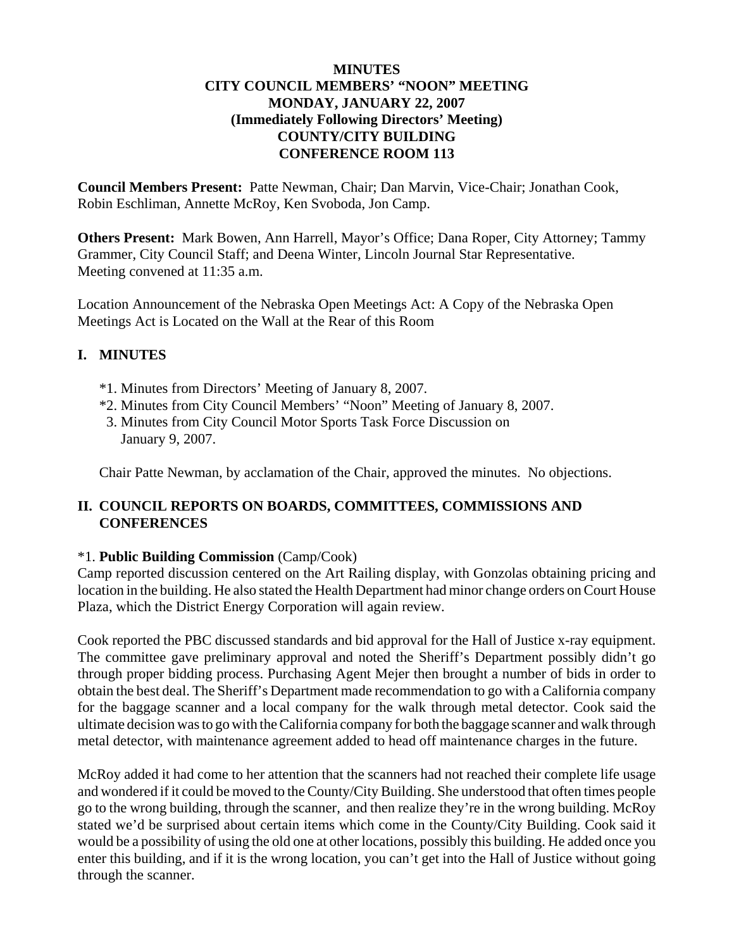#### **MINUTES CITY COUNCIL MEMBERS' "NOON" MEETING MONDAY, JANUARY 22, 2007 (Immediately Following Directors' Meeting) COUNTY/CITY BUILDING CONFERENCE ROOM 113**

**Council Members Present:** Patte Newman, Chair; Dan Marvin, Vice-Chair; Jonathan Cook, Robin Eschliman, Annette McRoy, Ken Svoboda, Jon Camp.

**Others Present:** Mark Bowen, Ann Harrell, Mayor's Office; Dana Roper, City Attorney; Tammy Grammer, City Council Staff; and Deena Winter, Lincoln Journal Star Representative. Meeting convened at 11:35 a.m.

Location Announcement of the Nebraska Open Meetings Act: A Copy of the Nebraska Open Meetings Act is Located on the Wall at the Rear of this Room

# **I. MINUTES**

- \*1. Minutes from Directors' Meeting of January 8, 2007.
- \*2. Minutes from City Council Members' "Noon" Meeting of January 8, 2007.
- 3. Minutes from City Council Motor Sports Task Force Discussion on January 9, 2007.

Chair Patte Newman, by acclamation of the Chair, approved the minutes. No objections.

### **II. COUNCIL REPORTS ON BOARDS, COMMITTEES, COMMISSIONS AND CONFERENCES**

### \*1. **Public Building Commission** (Camp/Cook)

Camp reported discussion centered on the Art Railing display, with Gonzolas obtaining pricing and location in the building. He also stated the Health Department had minor change orders on Court House Plaza, which the District Energy Corporation will again review.

Cook reported the PBC discussed standards and bid approval for the Hall of Justice x-ray equipment. The committee gave preliminary approval and noted the Sheriff's Department possibly didn't go through proper bidding process. Purchasing Agent Mejer then brought a number of bids in order to obtain the best deal. The Sheriff's Department made recommendation to go with a California company for the baggage scanner and a local company for the walk through metal detector. Cook said the ultimate decision was to go with the California company for both the baggage scanner and walk through metal detector, with maintenance agreement added to head off maintenance charges in the future.

McRoy added it had come to her attention that the scanners had not reached their complete life usage and wondered if it could be moved to the County/City Building. She understood that often times people go to the wrong building, through the scanner, and then realize they're in the wrong building. McRoy stated we'd be surprised about certain items which come in the County/City Building. Cook said it would be a possibility of using the old one at other locations, possibly this building. He added once you enter this building, and if it is the wrong location, you can't get into the Hall of Justice without going through the scanner.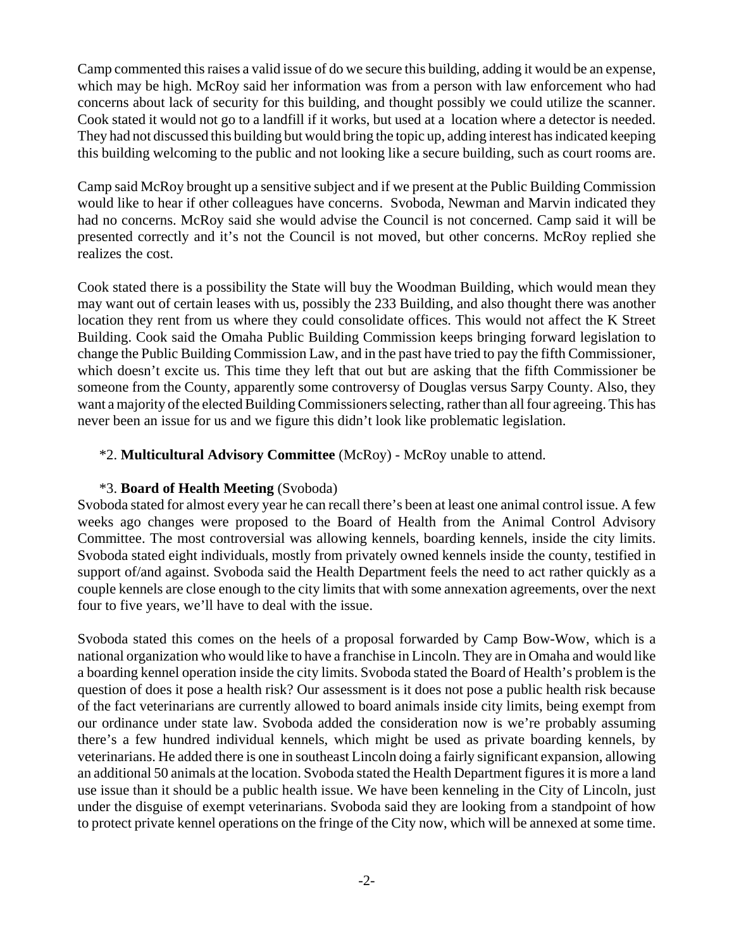Camp commented this raises a valid issue of do we secure this building, adding it would be an expense, which may be high. McRoy said her information was from a person with law enforcement who had concerns about lack of security for this building, and thought possibly we could utilize the scanner. Cook stated it would not go to a landfill if it works, but used at a location where a detector is needed. They had not discussed this building but would bring the topic up, adding interest has indicated keeping this building welcoming to the public and not looking like a secure building, such as court rooms are.

Camp said McRoy brought up a sensitive subject and if we present at the Public Building Commission would like to hear if other colleagues have concerns. Svoboda, Newman and Marvin indicated they had no concerns. McRoy said she would advise the Council is not concerned. Camp said it will be presented correctly and it's not the Council is not moved, but other concerns. McRoy replied she realizes the cost.

Cook stated there is a possibility the State will buy the Woodman Building, which would mean they may want out of certain leases with us, possibly the 233 Building, and also thought there was another location they rent from us where they could consolidate offices. This would not affect the K Street Building. Cook said the Omaha Public Building Commission keeps bringing forward legislation to change the Public Building Commission Law, and in the past have tried to pay the fifth Commissioner, which doesn't excite us. This time they left that out but are asking that the fifth Commissioner be someone from the County, apparently some controversy of Douglas versus Sarpy County. Also, they want a majority of the elected Building Commissioners selecting, rather than all four agreeing. This has never been an issue for us and we figure this didn't look like problematic legislation.

### \*2. **Multicultural Advisory Committee** (McRoy) - McRoy unable to attend.

#### \*3. **Board of Health Meeting** (Svoboda)

Svoboda stated for almost every year he can recall there's been at least one animal control issue. A few weeks ago changes were proposed to the Board of Health from the Animal Control Advisory Committee. The most controversial was allowing kennels, boarding kennels, inside the city limits. Svoboda stated eight individuals, mostly from privately owned kennels inside the county, testified in support of/and against. Svoboda said the Health Department feels the need to act rather quickly as a couple kennels are close enough to the city limits that with some annexation agreements, over the next four to five years, we'll have to deal with the issue.

Svoboda stated this comes on the heels of a proposal forwarded by Camp Bow-Wow, which is a national organization who would like to have a franchise in Lincoln. They are in Omaha and would like a boarding kennel operation inside the city limits. Svoboda stated the Board of Health's problem is the question of does it pose a health risk? Our assessment is it does not pose a public health risk because of the fact veterinarians are currently allowed to board animals inside city limits, being exempt from our ordinance under state law. Svoboda added the consideration now is we're probably assuming there's a few hundred individual kennels, which might be used as private boarding kennels, by veterinarians. He added there is one in southeast Lincoln doing a fairly significant expansion, allowing an additional 50 animals at the location. Svoboda stated the Health Department figures it is more a land use issue than it should be a public health issue. We have been kenneling in the City of Lincoln, just under the disguise of exempt veterinarians. Svoboda said they are looking from a standpoint of how to protect private kennel operations on the fringe of the City now, which will be annexed at some time.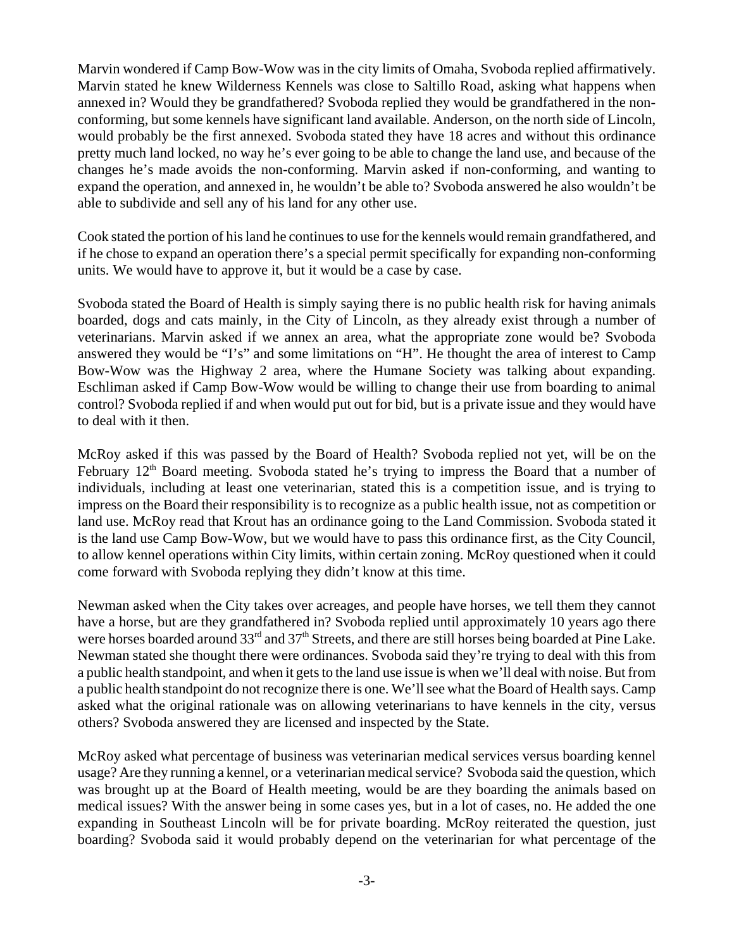Marvin wondered if Camp Bow-Wow was in the city limits of Omaha, Svoboda replied affirmatively. Marvin stated he knew Wilderness Kennels was close to Saltillo Road, asking what happens when annexed in? Would they be grandfathered? Svoboda replied they would be grandfathered in the nonconforming, but some kennels have significant land available. Anderson, on the north side of Lincoln, would probably be the first annexed. Svoboda stated they have 18 acres and without this ordinance pretty much land locked, no way he's ever going to be able to change the land use, and because of the changes he's made avoids the non-conforming. Marvin asked if non-conforming, and wanting to expand the operation, and annexed in, he wouldn't be able to? Svoboda answered he also wouldn't be able to subdivide and sell any of his land for any other use.

Cook stated the portion of his land he continues to use for the kennels would remain grandfathered, and if he chose to expand an operation there's a special permit specifically for expanding non-conforming units. We would have to approve it, but it would be a case by case.

Svoboda stated the Board of Health is simply saying there is no public health risk for having animals boarded, dogs and cats mainly, in the City of Lincoln, as they already exist through a number of veterinarians. Marvin asked if we annex an area, what the appropriate zone would be? Svoboda answered they would be "I's" and some limitations on "H". He thought the area of interest to Camp Bow-Wow was the Highway 2 area, where the Humane Society was talking about expanding. Eschliman asked if Camp Bow-Wow would be willing to change their use from boarding to animal control? Svoboda replied if and when would put out for bid, but is a private issue and they would have to deal with it then.

McRoy asked if this was passed by the Board of Health? Svoboda replied not yet, will be on the February  $12<sup>th</sup>$  Board meeting. Svoboda stated he's trying to impress the Board that a number of individuals, including at least one veterinarian, stated this is a competition issue, and is trying to impress on the Board their responsibility is to recognize as a public health issue, not as competition or land use. McRoy read that Krout has an ordinance going to the Land Commission. Svoboda stated it is the land use Camp Bow-Wow, but we would have to pass this ordinance first, as the City Council, to allow kennel operations within City limits, within certain zoning. McRoy questioned when it could come forward with Svoboda replying they didn't know at this time.

Newman asked when the City takes over acreages, and people have horses, we tell them they cannot have a horse, but are they grandfathered in? Svoboda replied until approximately 10 years ago there were horses boarded around 33<sup>rd</sup> and 37<sup>th</sup> Streets, and there are still horses being boarded at Pine Lake. Newman stated she thought there were ordinances. Svoboda said they're trying to deal with this from a public health standpoint, and when it gets to the land use issue is when we'll deal with noise. But from a public health standpoint do not recognize there is one. We'll see what the Board of Health says. Camp asked what the original rationale was on allowing veterinarians to have kennels in the city, versus others? Svoboda answered they are licensed and inspected by the State.

McRoy asked what percentage of business was veterinarian medical services versus boarding kennel usage? Are they running a kennel, or a veterinarian medical service? Svoboda said the question, which was brought up at the Board of Health meeting, would be are they boarding the animals based on medical issues? With the answer being in some cases yes, but in a lot of cases, no. He added the one expanding in Southeast Lincoln will be for private boarding. McRoy reiterated the question, just boarding? Svoboda said it would probably depend on the veterinarian for what percentage of the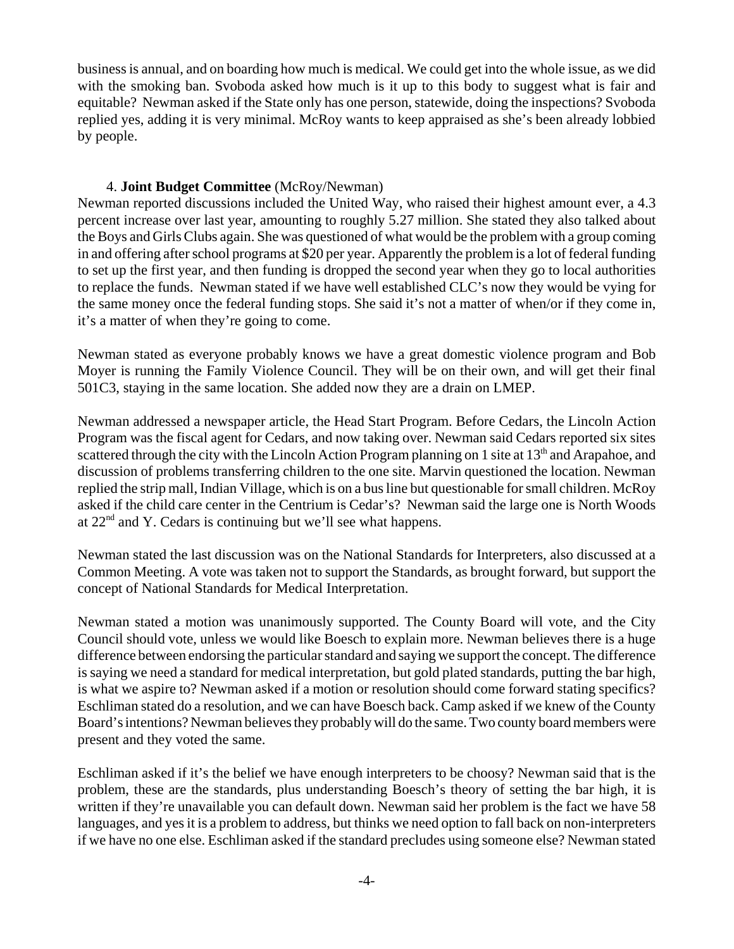business is annual, and on boarding how much is medical. We could get into the whole issue, as we did with the smoking ban. Svoboda asked how much is it up to this body to suggest what is fair and equitable? Newman asked if the State only has one person, statewide, doing the inspections? Svoboda replied yes, adding it is very minimal. McRoy wants to keep appraised as she's been already lobbied by people.

### 4. **Joint Budget Committee** (McRoy/Newman)

Newman reported discussions included the United Way, who raised their highest amount ever, a 4.3 percent increase over last year, amounting to roughly 5.27 million. She stated they also talked about the Boys and Girls Clubs again. She was questioned of what would be the problem with a group coming in and offering after school programs at \$20 per year. Apparently the problem is a lot of federal funding to set up the first year, and then funding is dropped the second year when they go to local authorities to replace the funds. Newman stated if we have well established CLC's now they would be vying for the same money once the federal funding stops. She said it's not a matter of when/or if they come in, it's a matter of when they're going to come.

Newman stated as everyone probably knows we have a great domestic violence program and Bob Moyer is running the Family Violence Council. They will be on their own, and will get their final 501C3, staying in the same location. She added now they are a drain on LMEP.

Newman addressed a newspaper article, the Head Start Program. Before Cedars, the Lincoln Action Program was the fiscal agent for Cedars, and now taking over. Newman said Cedars reported six sites scattered through the city with the Lincoln Action Program planning on 1 site at 13<sup>th</sup> and Arapahoe, and discussion of problems transferring children to the one site. Marvin questioned the location. Newman replied the strip mall, Indian Village, which is on a bus line but questionable for small children. McRoy asked if the child care center in the Centrium is Cedar's? Newman said the large one is North Woods at  $22<sup>nd</sup>$  and Y. Cedars is continuing but we'll see what happens.

Newman stated the last discussion was on the National Standards for Interpreters, also discussed at a Common Meeting. A vote was taken not to support the Standards, as brought forward, but support the concept of National Standards for Medical Interpretation.

Newman stated a motion was unanimously supported. The County Board will vote, and the City Council should vote, unless we would like Boesch to explain more. Newman believes there is a huge difference between endorsing the particular standard and saying we support the concept. The difference is saying we need a standard for medical interpretation, but gold plated standards, putting the bar high, is what we aspire to? Newman asked if a motion or resolution should come forward stating specifics? Eschliman stated do a resolution, and we can have Boesch back. Camp asked if we knew of the County Board's intentions? Newman believes they probably will do the same. Two county board members were present and they voted the same.

Eschliman asked if it's the belief we have enough interpreters to be choosy? Newman said that is the problem, these are the standards, plus understanding Boesch's theory of setting the bar high, it is written if they're unavailable you can default down. Newman said her problem is the fact we have 58 languages, and yes it is a problem to address, but thinks we need option to fall back on non-interpreters if we have no one else. Eschliman asked if the standard precludes using someone else? Newman stated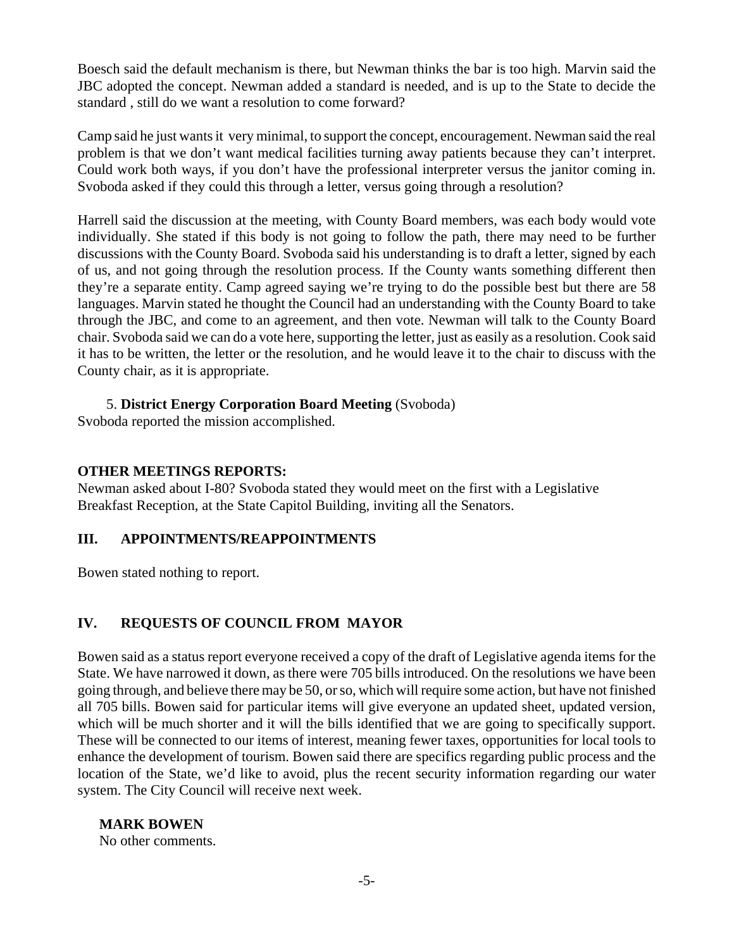Boesch said the default mechanism is there, but Newman thinks the bar is too high. Marvin said the JBC adopted the concept. Newman added a standard is needed, and is up to the State to decide the standard , still do we want a resolution to come forward?

Camp said he just wants it very minimal, to support the concept, encouragement. Newman said the real problem is that we don't want medical facilities turning away patients because they can't interpret. Could work both ways, if you don't have the professional interpreter versus the janitor coming in. Svoboda asked if they could this through a letter, versus going through a resolution?

Harrell said the discussion at the meeting, with County Board members, was each body would vote individually. She stated if this body is not going to follow the path, there may need to be further discussions with the County Board. Svoboda said his understanding is to draft a letter, signed by each of us, and not going through the resolution process. If the County wants something different then they're a separate entity. Camp agreed saying we're trying to do the possible best but there are 58 languages. Marvin stated he thought the Council had an understanding with the County Board to take through the JBC, and come to an agreement, and then vote. Newman will talk to the County Board chair. Svoboda said we can do a vote here, supporting the letter, just as easily as a resolution. Cook said it has to be written, the letter or the resolution, and he would leave it to the chair to discuss with the County chair, as it is appropriate.

#### 5. **District Energy Corporation Board Meeting** (Svoboda)

Svoboda reported the mission accomplished.

#### **OTHER MEETINGS REPORTS:**

Newman asked about I-80? Svoboda stated they would meet on the first with a Legislative Breakfast Reception, at the State Capitol Building, inviting all the Senators.

### **III. APPOINTMENTS/REAPPOINTMENTS**

Bowen stated nothing to report.

### **IV. REQUESTS OF COUNCIL FROM MAYOR**

Bowen said as a status report everyone received a copy of the draft of Legislative agenda items for the State. We have narrowed it down, as there were 705 bills introduced. On the resolutions we have been going through, and believe there may be 50, or so, which will require some action, but have not finished all 705 bills. Bowen said for particular items will give everyone an updated sheet, updated version, which will be much shorter and it will the bills identified that we are going to specifically support. These will be connected to our items of interest, meaning fewer taxes, opportunities for local tools to enhance the development of tourism. Bowen said there are specifics regarding public process and the location of the State, we'd like to avoid, plus the recent security information regarding our water system. The City Council will receive next week.

#### **MARK BOWEN**

No other comments.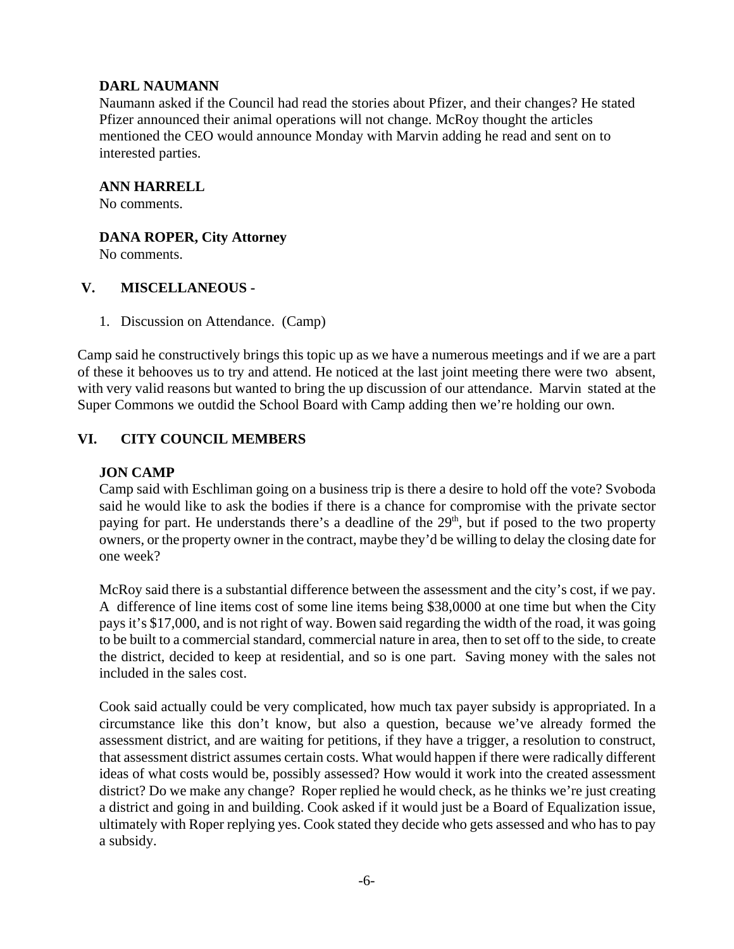### **DARL NAUMANN**

Naumann asked if the Council had read the stories about Pfizer, and their changes? He stated Pfizer announced their animal operations will not change. McRoy thought the articles mentioned the CEO would announce Monday with Marvin adding he read and sent on to interested parties.

#### **ANN HARRELL**

No comments.

#### **DANA ROPER, City Attorney**

No comments.

#### **V. MISCELLANEOUS -**

1. Discussion on Attendance. (Camp)

Camp said he constructively brings this topic up as we have a numerous meetings and if we are a part of these it behooves us to try and attend. He noticed at the last joint meeting there were two absent, with very valid reasons but wanted to bring the up discussion of our attendance. Marvin stated at the Super Commons we outdid the School Board with Camp adding then we're holding our own.

# **VI. CITY COUNCIL MEMBERS**

## **JON CAMP**

Camp said with Eschliman going on a business trip is there a desire to hold off the vote? Svoboda said he would like to ask the bodies if there is a chance for compromise with the private sector paying for part. He understands there's a deadline of the 29<sup>th</sup>, but if posed to the two property owners, or the property owner in the contract, maybe they'd be willing to delay the closing date for one week?

McRoy said there is a substantial difference between the assessment and the city's cost, if we pay. A difference of line items cost of some line items being \$38,0000 at one time but when the City pays it's \$17,000, and is not right of way. Bowen said regarding the width of the road, it was going to be built to a commercial standard, commercial nature in area, then to set off to the side, to create the district, decided to keep at residential, and so is one part. Saving money with the sales not included in the sales cost.

Cook said actually could be very complicated, how much tax payer subsidy is appropriated. In a circumstance like this don't know, but also a question, because we've already formed the assessment district, and are waiting for petitions, if they have a trigger, a resolution to construct, that assessment district assumes certain costs. What would happen if there were radically different ideas of what costs would be, possibly assessed? How would it work into the created assessment district? Do we make any change? Roper replied he would check, as he thinks we're just creating a district and going in and building. Cook asked if it would just be a Board of Equalization issue, ultimately with Roper replying yes. Cook stated they decide who gets assessed and who has to pay a subsidy.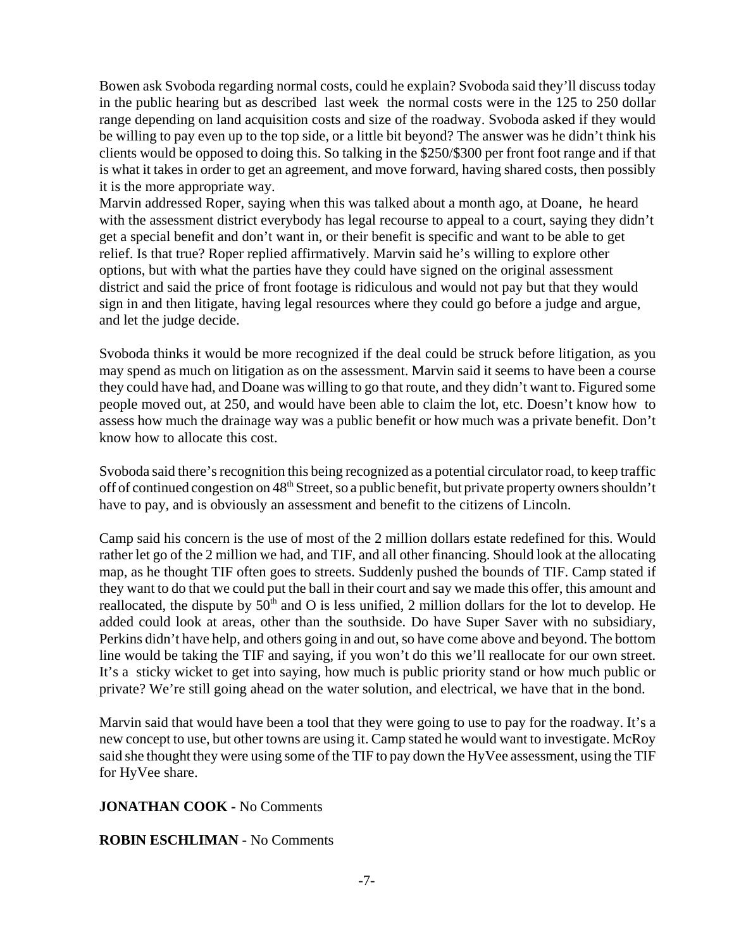Bowen ask Svoboda regarding normal costs, could he explain? Svoboda said they'll discuss today in the public hearing but as described last week the normal costs were in the 125 to 250 dollar range depending on land acquisition costs and size of the roadway. Svoboda asked if they would be willing to pay even up to the top side, or a little bit beyond? The answer was he didn't think his clients would be opposed to doing this. So talking in the \$250/\$300 per front foot range and if that is what it takes in order to get an agreement, and move forward, having shared costs, then possibly it is the more appropriate way.

Marvin addressed Roper, saying when this was talked about a month ago, at Doane, he heard with the assessment district everybody has legal recourse to appeal to a court, saying they didn't get a special benefit and don't want in, or their benefit is specific and want to be able to get relief. Is that true? Roper replied affirmatively. Marvin said he's willing to explore other options, but with what the parties have they could have signed on the original assessment district and said the price of front footage is ridiculous and would not pay but that they would sign in and then litigate, having legal resources where they could go before a judge and argue, and let the judge decide.

Svoboda thinks it would be more recognized if the deal could be struck before litigation, as you may spend as much on litigation as on the assessment. Marvin said it seems to have been a course they could have had, and Doane was willing to go that route, and they didn't want to. Figured some people moved out, at 250, and would have been able to claim the lot, etc. Doesn't know how to assess how much the drainage way was a public benefit or how much was a private benefit. Don't know how to allocate this cost.

Svoboda said there's recognition this being recognized as a potential circulator road, to keep traffic off of continued congestion on 48<sup>th</sup> Street, so a public benefit, but private property owners shouldn't have to pay, and is obviously an assessment and benefit to the citizens of Lincoln.

Camp said his concern is the use of most of the 2 million dollars estate redefined for this. Would rather let go of the 2 million we had, and TIF, and all other financing. Should look at the allocating map, as he thought TIF often goes to streets. Suddenly pushed the bounds of TIF. Camp stated if they want to do that we could put the ball in their court and say we made this offer, this amount and reallocated, the dispute by 50<sup>th</sup> and O is less unified, 2 million dollars for the lot to develop. He added could look at areas, other than the southside. Do have Super Saver with no subsidiary, Perkins didn't have help, and others going in and out, so have come above and beyond. The bottom line would be taking the TIF and saying, if you won't do this we'll reallocate for our own street. It's a sticky wicket to get into saying, how much is public priority stand or how much public or private? We're still going ahead on the water solution, and electrical, we have that in the bond.

Marvin said that would have been a tool that they were going to use to pay for the roadway. It's a new concept to use, but other towns are using it. Camp stated he would want to investigate. McRoy said she thought they were using some of the TIF to pay down the HyVee assessment, using the TIF for HyVee share.

### **JONATHAN COOK -** No Comments

#### **ROBIN ESCHLIMAN -** No Comments